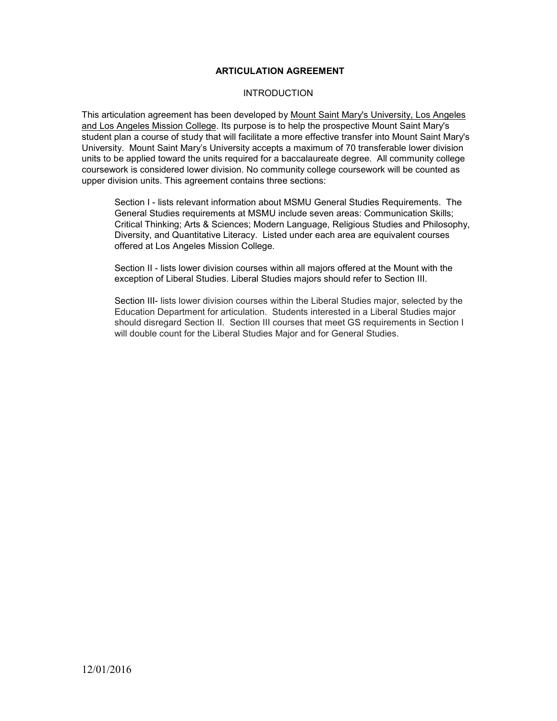### **ARTICULATION AGREEMENT**

#### **INTRODUCTION**

This articulation agreement has been developed by Mount Saint Mary's University, Los Angeles and Los Angeles Mission College. Its purpose is to help the prospective Mount Saint Mary's student plan a course of study that will facilitate a more effective transfer into Mount Saint Mary's University. Mount Saint Mary's University accepts a maximum of 70 transferable lower division units to be applied toward the units required for a baccalaureate degree. All community college coursework is considered lower division. No community college coursework will be counted as upper division units. This agreement contains three sections:

Section I - lists relevant information about MSMU General Studies Requirements. The General Studies requirements at MSMU include seven areas: Communication Skills; Critical Thinking; Arts & Sciences; Modern Language, Religious Studies and Philosophy, Diversity, and Quantitative Literacy. Listed under each area are equivalent courses offered at Los Angeles Mission College.

Section II - lists lower division courses within all majors offered at the Mount with the exception of Liberal Studies. Liberal Studies majors should refer to Section III.

Section III- lists lower division courses within the Liberal Studies major, selected by the Education Department for articulation. Students interested in a Liberal Studies major should disregard Section II. Section III courses that meet GS requirements in Section I will double count for the Liberal Studies Major and for General Studies.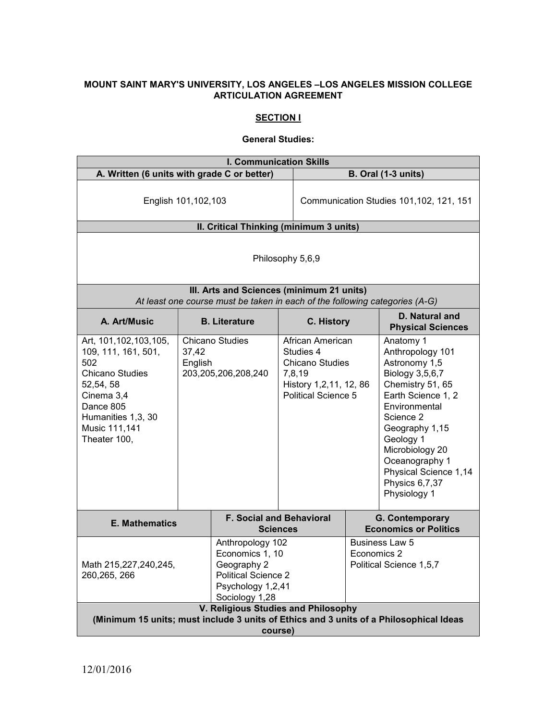## **MOUNT SAINT MARY'S UNIVERSITY, LOS ANGELES –LOS ANGELES MISSION COLLEGE ARTICULATION AGREEMENT**

# **SECTION I**

#### **General Studies:**

| <b>I. Communication Skills</b>                                                                                                                                                 |                                                               |                                                                                                                         |                                         |                                                                                                                 |                                           |                                                                                                                                                                                                                                                                          |
|--------------------------------------------------------------------------------------------------------------------------------------------------------------------------------|---------------------------------------------------------------|-------------------------------------------------------------------------------------------------------------------------|-----------------------------------------|-----------------------------------------------------------------------------------------------------------------|-------------------------------------------|--------------------------------------------------------------------------------------------------------------------------------------------------------------------------------------------------------------------------------------------------------------------------|
| A. Written (6 units with grade C or better)                                                                                                                                    |                                                               |                                                                                                                         |                                         |                                                                                                                 |                                           | <b>B. Oral (1-3 units)</b>                                                                                                                                                                                                                                               |
| English 101,102,103                                                                                                                                                            |                                                               |                                                                                                                         | Communication Studies 101,102, 121, 151 |                                                                                                                 |                                           |                                                                                                                                                                                                                                                                          |
|                                                                                                                                                                                |                                                               | II. Critical Thinking (minimum 3 units)                                                                                 |                                         |                                                                                                                 |                                           |                                                                                                                                                                                                                                                                          |
|                                                                                                                                                                                | Philosophy 5,6,9<br>III. Arts and Sciences (minimum 21 units) |                                                                                                                         |                                         |                                                                                                                 |                                           |                                                                                                                                                                                                                                                                          |
| A. Art/Music                                                                                                                                                                   |                                                               | At least one course must be taken in each of the following categories (A-G)<br><b>B.</b> Literature                     |                                         | C. History                                                                                                      |                                           | <b>D. Natural and</b><br><b>Physical Sciences</b>                                                                                                                                                                                                                        |
| Art, 101, 102, 103, 105,<br>109, 111, 161, 501,<br>502<br><b>Chicano Studies</b><br>52,54,58<br>Cinema 3,4<br>Dance 805<br>Humanities 1,3, 30<br>Music 111,141<br>Theater 100, | 37,42<br>English                                              | <b>Chicano Studies</b><br>203,205,206,208,240                                                                           | 7,8,19                                  | African American<br>Studies 4<br><b>Chicano Studies</b><br>History 1,2,11, 12, 86<br><b>Political Science 5</b> |                                           | Anatomy 1<br>Anthropology 101<br>Astronomy 1,5<br>Biology 3,5,6,7<br>Chemistry 51, 65<br>Earth Science 1, 2<br>Environmental<br>Science 2<br>Geography 1,15<br>Geology 1<br>Microbiology 20<br>Oceanography 1<br>Physical Science 1,14<br>Physics 6,7,37<br>Physiology 1 |
| <b>E. Mathematics</b>                                                                                                                                                          |                                                               | <b>F. Social and Behavioral</b>                                                                                         | <b>Sciences</b>                         |                                                                                                                 |                                           | G. Contemporary<br><b>Economics or Politics</b>                                                                                                                                                                                                                          |
| Math 215,227,240,245,<br>260, 265, 266                                                                                                                                         |                                                               | Anthropology 102<br>Economics 1, 10<br>Geography 2<br><b>Political Science 2</b><br>Psychology 1,2,41<br>Sociology 1,28 |                                         | Economics 2                                                                                                     | Business Law 5<br>Political Science 1,5,7 |                                                                                                                                                                                                                                                                          |
| V. Religious Studies and Philosophy<br>(Minimum 15 units; must include 3 units of Ethics and 3 units of a Philosophical Ideas<br>course)                                       |                                                               |                                                                                                                         |                                         |                                                                                                                 |                                           |                                                                                                                                                                                                                                                                          |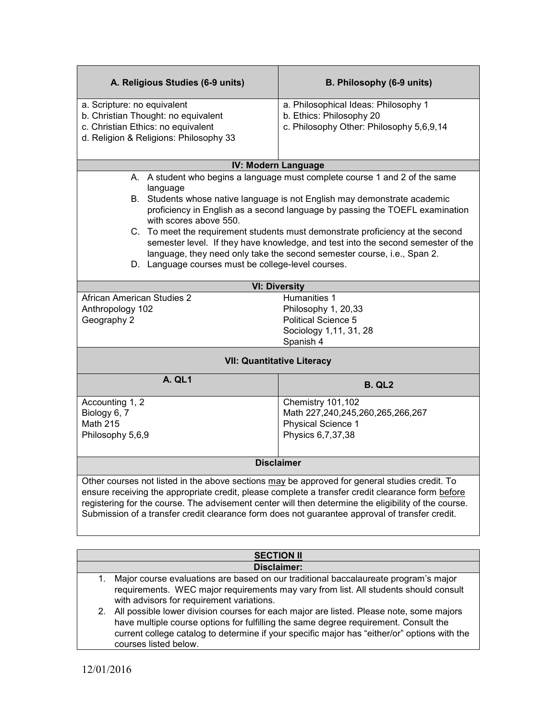| A. Religious Studies (6-9 units)                                                                     | B. Philosophy (6-9 units)                                                        |  |  |  |
|------------------------------------------------------------------------------------------------------|----------------------------------------------------------------------------------|--|--|--|
| a. Scripture: no equivalent                                                                          | a. Philosophical Ideas: Philosophy 1                                             |  |  |  |
| b. Christian Thought: no equivalent                                                                  | b. Ethics: Philosophy 20<br>c. Philosophy Other: Philosophy 5,6,9,14             |  |  |  |
| c. Christian Ethics: no equivalent<br>d. Religion & Religions: Philosophy 33                         |                                                                                  |  |  |  |
|                                                                                                      |                                                                                  |  |  |  |
| <b>IV: Modern Language</b>                                                                           |                                                                                  |  |  |  |
| language                                                                                             | A. A student who begins a language must complete course 1 and 2 of the same      |  |  |  |
|                                                                                                      | B. Students whose native language is not English may demonstrate academic        |  |  |  |
| with scores above 550.                                                                               | proficiency in English as a second language by passing the TOEFL examination     |  |  |  |
|                                                                                                      | C. To meet the requirement students must demonstrate proficiency at the second   |  |  |  |
|                                                                                                      | semester level. If they have knowledge, and test into the second semester of the |  |  |  |
|                                                                                                      | language, they need only take the second semester course, i.e., Span 2.          |  |  |  |
| D. Language courses must be college-level courses.                                                   |                                                                                  |  |  |  |
| <b>VI: Diversity</b>                                                                                 |                                                                                  |  |  |  |
| <b>African American Studies 2</b>                                                                    | Humanities 1                                                                     |  |  |  |
| Anthropology 102<br>Geography 2                                                                      | Philosophy 1, 20,33<br><b>Political Science 5</b>                                |  |  |  |
|                                                                                                      | Sociology 1,11, 31, 28                                                           |  |  |  |
|                                                                                                      | Spanish 4                                                                        |  |  |  |
| <b>VII: Quantitative Literacy</b>                                                                    |                                                                                  |  |  |  |
| A. QL1                                                                                               | <b>B. QL2</b>                                                                    |  |  |  |
| Accounting 1, 2                                                                                      | Chemistry 101,102                                                                |  |  |  |
| Biology 6, 7                                                                                         | Math 227,240,245,260,265,266,267                                                 |  |  |  |
| <b>Math 215</b>                                                                                      | <b>Physical Science 1</b><br>Physics 6,7,37,38                                   |  |  |  |
| Philosophy 5,6,9                                                                                     |                                                                                  |  |  |  |
| <b>Disclaimer</b>                                                                                    |                                                                                  |  |  |  |
| Other courses not listed in the above sections may be approved for general studies credit. To        |                                                                                  |  |  |  |
| ensure receiving the appropriate credit, please complete a transfer credit clearance form before     |                                                                                  |  |  |  |
| registering for the course. The advisement center will then determine the eligibility of the course. |                                                                                  |  |  |  |
| Submission of a transfer credit clearance form does not guarantee approval of transfer credit.       |                                                                                  |  |  |  |
|                                                                                                      |                                                                                  |  |  |  |

| <b>SECTION II</b>  |                                                                                                                                                                                    |  |
|--------------------|------------------------------------------------------------------------------------------------------------------------------------------------------------------------------------|--|
| <b>Disclaimer:</b> |                                                                                                                                                                                    |  |
| 1.                 | Major course evaluations are based on our traditional baccalaureate program's major                                                                                                |  |
|                    | requirements. WEC major requirements may vary from list. All students should consult<br>with advisors for requirement variations.                                                  |  |
|                    | 2. All possible lower division courses for each major are listed. Please note, some majors<br>have multiple course options for fulfilling the same degree requirement. Consult the |  |
|                    | current college catalog to determine if your specific major has "either/or" options with the<br>courses listed below.                                                              |  |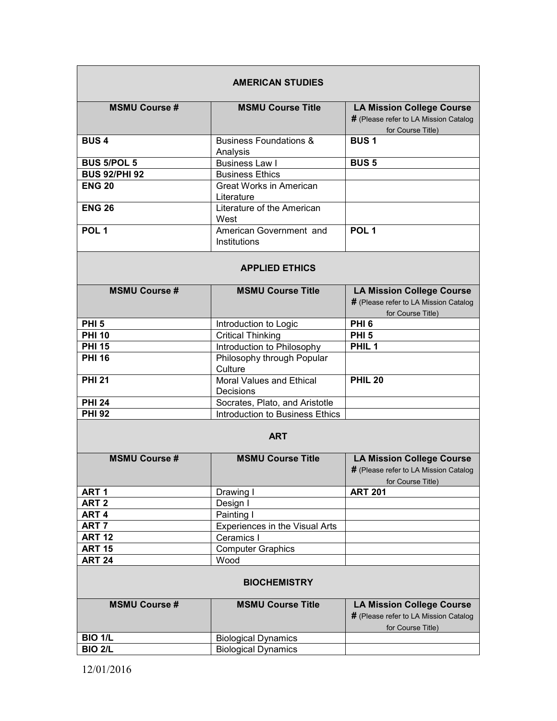|                      | <b>AMERICAN STUDIES</b>                      |                                                                                                |
|----------------------|----------------------------------------------|------------------------------------------------------------------------------------------------|
| <b>MSMU Course #</b> | <b>MSMU Course Title</b>                     | <b>LA Mission College Course</b>                                                               |
|                      |                                              | # (Please refer to LA Mission Catalog<br>for Course Title)                                     |
| <b>BUS4</b>          | <b>Business Foundations &amp;</b>            | <b>BUS1</b>                                                                                    |
|                      | Analysis                                     |                                                                                                |
| <b>BUS 5/POL 5</b>   | <b>Business Law I</b>                        | <b>BUS 5</b>                                                                                   |
| <b>BUS 92/PHI 92</b> | <b>Business Ethics</b>                       |                                                                                                |
| <b>ENG 20</b>        | <b>Great Works in American</b><br>Literature |                                                                                                |
| <b>ENG 26</b>        | Literature of the American<br>West           |                                                                                                |
| POL <sub>1</sub>     | American Government and<br>Institutions      | POL <sub>1</sub>                                                                               |
|                      | <b>APPLIED ETHICS</b>                        |                                                                                                |
| <b>MSMU Course #</b> | <b>MSMU Course Title</b>                     | <b>LA Mission College Course</b>                                                               |
|                      |                                              | # (Please refer to LA Mission Catalog                                                          |
|                      |                                              | for Course Title)                                                                              |
| PHI <sub>5</sub>     | Introduction to Logic                        | PHI <sub>6</sub>                                                                               |
| <b>PHI 10</b>        | <b>Critical Thinking</b>                     | PHI <sub>5</sub>                                                                               |
| <b>PHI 15</b>        | Introduction to Philosophy                   | PHIL <sub>1</sub>                                                                              |
| <b>PHI 16</b>        | Philosophy through Popular<br>Culture        |                                                                                                |
| <b>PHI 21</b>        | Moral Values and Ethical<br>Decisions        | <b>PHIL 20</b>                                                                                 |
| <b>PHI 24</b>        | Socrates, Plato, and Aristotle               |                                                                                                |
| <b>PHI 92</b>        | Introduction to Business Ethics              |                                                                                                |
|                      | <b>ART</b>                                   |                                                                                                |
| <b>MSMU Course #</b> | <b>MSMU Course Title</b>                     | <b>LA Mission College Course</b><br># (Please refer to LA Mission Catalog<br>for Course Title) |
| ART <sub>1</sub>     | Drawing I                                    | <b>ART 201</b>                                                                                 |
| ART <sub>2</sub>     | Design I                                     |                                                                                                |
| ART <sub>4</sub>     | Painting I                                   |                                                                                                |
| ART <sub>7</sub>     | Experiences in the Visual Arts               |                                                                                                |
| <b>ART 12</b>        | Ceramics I                                   |                                                                                                |
| <b>ART 15</b>        | <b>Computer Graphics</b>                     |                                                                                                |
| <b>ART 24</b>        | Wood                                         |                                                                                                |
|                      | <b>BIOCHEMISTRY</b>                          |                                                                                                |
| <b>MSMU Course #</b> | <b>MSMU Course Title</b>                     | <b>LA Mission College Course</b><br># (Please refer to LA Mission Catalog<br>for Course Title) |
| <b>BIO 1/L</b>       | <b>Biological Dynamics</b>                   |                                                                                                |
| <b>BIO 2/L</b>       | <b>Biological Dynamics</b>                   |                                                                                                |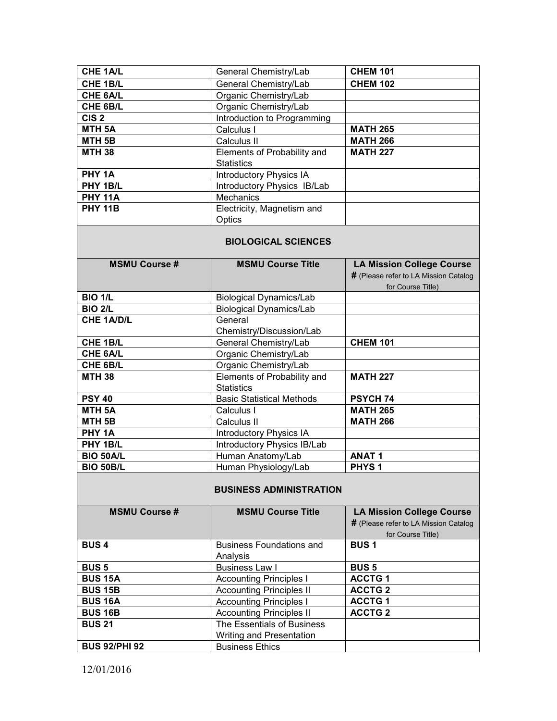| CHE 1A/L           | General Chemistry/Lab          | <b>CHEM 101</b> |
|--------------------|--------------------------------|-----------------|
| CHE 1B/L           | General Chemistry/Lab          | <b>CHEM 102</b> |
| CHE 6A/L           | Organic Chemistry/Lab          |                 |
| CHE 6B/L           | Organic Chemistry/Lab          |                 |
| CIS <sub>2</sub>   | Introduction to Programming    |                 |
| MTH <sub>5</sub> A | Calculus I                     | <b>MATH 265</b> |
| MTH <sub>5B</sub>  | Calculus II                    | <b>MATH 266</b> |
| <b>MTH 38</b>      | Elements of Probability and    | <b>MATH 227</b> |
|                    | <b>Statistics</b>              |                 |
| PHY <sub>1A</sub>  | <b>Introductory Physics IA</b> |                 |
| PHY 1B/L           | Introductory Physics IB/Lab    |                 |
| <b>PHY 11A</b>     | <b>Mechanics</b>               |                 |
| <b>PHY 11B</b>     | Electricity, Magnetism and     |                 |
|                    | Optics                         |                 |

### **BIOLOGICAL SCIENCES**

| <b>MSMU Course #</b> | <b>MSMU Course Title</b>         | <b>LA Mission College Course</b>      |
|----------------------|----------------------------------|---------------------------------------|
|                      |                                  | # (Please refer to LA Mission Catalog |
|                      |                                  | for Course Title)                     |
| <b>BIO 1/L</b>       | <b>Biological Dynamics/Lab</b>   |                                       |
| <b>BIO 2/L</b>       | <b>Biological Dynamics/Lab</b>   |                                       |
| <b>CHE 1A/D/L</b>    | General                          |                                       |
|                      | Chemistry/Discussion/Lab         |                                       |
| <b>CHE 1B/L</b>      | General Chemistry/Lab            | <b>CHEM 101</b>                       |
| <b>CHE 6A/L</b>      | Organic Chemistry/Lab            |                                       |
| CHE 6B/L             | Organic Chemistry/Lab            |                                       |
| <b>MTH 38</b>        | Elements of Probability and      | <b>MATH 227</b>                       |
|                      | <b>Statistics</b>                |                                       |
| <b>PSY 40</b>        | <b>Basic Statistical Methods</b> | <b>PSYCH 74</b>                       |
| <b>MTH 5A</b>        | Calculus I                       | <b>MATH 265</b>                       |
| MTH <sub>5B</sub>    | Calculus II                      | <b>MATH 266</b>                       |
| PHY 1A               | <b>Introductory Physics IA</b>   |                                       |
| PHY 1B/L             | Introductory Physics IB/Lab      |                                       |
| <b>BIO 50A/L</b>     | Human Anatomy/Lab                | <b>ANAT1</b>                          |
| <b>BIO 50B/L</b>     | Human Physiology/Lab             | PHYS <sub>1</sub>                     |

### **BUSINESS ADMINISTRATION**

| <b>MSMU Course #</b> | <b>MSMU Course Title</b>        | <b>LA Mission College Course</b>      |
|----------------------|---------------------------------|---------------------------------------|
|                      |                                 | # (Please refer to LA Mission Catalog |
|                      |                                 | for Course Title)                     |
| <b>BUS4</b>          | <b>Business Foundations and</b> | <b>BUS1</b>                           |
|                      | Analysis                        |                                       |
| <b>BUS 5</b>         | <b>Business Law I</b>           | <b>BUS 5</b>                          |
| <b>BUS 15A</b>       | <b>Accounting Principles I</b>  | <b>ACCTG1</b>                         |
| <b>BUS 15B</b>       | <b>Accounting Principles II</b> | <b>ACCTG 2</b>                        |
| <b>BUS 16A</b>       | <b>Accounting Principles I</b>  | <b>ACCTG1</b>                         |
| <b>BUS 16B</b>       | <b>Accounting Principles II</b> | <b>ACCTG 2</b>                        |
| <b>BUS 21</b>        | The Essentials of Business      |                                       |
|                      | Writing and Presentation        |                                       |
| <b>BUS 92/PHI 92</b> | <b>Business Ethics</b>          |                                       |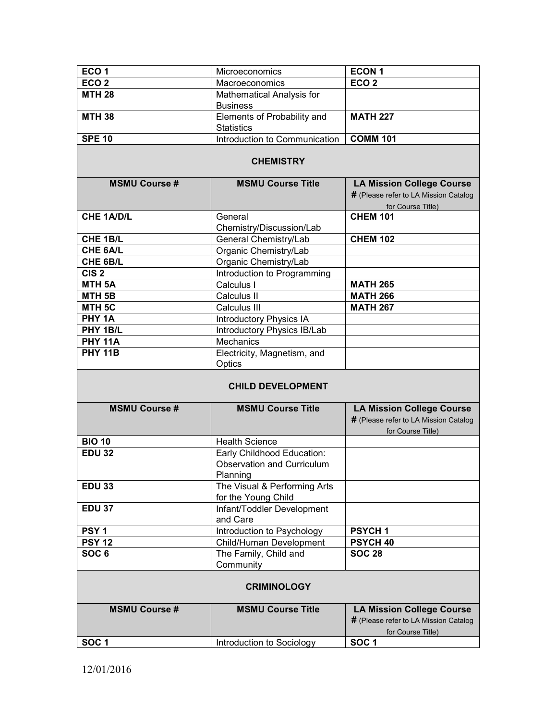| ECO <sub>1</sub>         | Microeconomics                                                              | <b>ECON1</b>                                                                                   |  |  |  |
|--------------------------|-----------------------------------------------------------------------------|------------------------------------------------------------------------------------------------|--|--|--|
| ECO <sub>2</sub>         | Macroeconomics                                                              | ECO <sub>2</sub>                                                                               |  |  |  |
| <b>MTH 28</b>            | Mathematical Analysis for<br><b>Business</b>                                |                                                                                                |  |  |  |
| <b>MTH 38</b>            | Elements of Probability and<br><b>Statistics</b>                            | <b>MATH 227</b>                                                                                |  |  |  |
| <b>SPE 10</b>            | Introduction to Communication                                               | <b>COMM 101</b>                                                                                |  |  |  |
| <b>CHEMISTRY</b>         |                                                                             |                                                                                                |  |  |  |
| <b>MSMU Course #</b>     | <b>MSMU Course Title</b>                                                    | <b>LA Mission College Course</b>                                                               |  |  |  |
|                          |                                                                             | # (Please refer to LA Mission Catalog<br>for Course Title)                                     |  |  |  |
| <b>CHE 1A/D/L</b>        | General                                                                     | <b>CHEM 101</b>                                                                                |  |  |  |
|                          | Chemistry/Discussion/Lab                                                    |                                                                                                |  |  |  |
| CHE 1B/L                 | General Chemistry/Lab                                                       | <b>CHEM 102</b>                                                                                |  |  |  |
| <b>CHE 6A/L</b>          | Organic Chemistry/Lab                                                       |                                                                                                |  |  |  |
| CHE 6B/L                 | Organic Chemistry/Lab                                                       |                                                                                                |  |  |  |
| CIS <sub>2</sub>         | Introduction to Programming                                                 |                                                                                                |  |  |  |
| <b>MTH 5A</b>            | Calculus I                                                                  | <b>MATH 265</b>                                                                                |  |  |  |
| MTH <sub>5B</sub>        | Calculus II                                                                 | <b>MATH 266</b>                                                                                |  |  |  |
| MTH <sub>5C</sub>        | Calculus III                                                                | <b>MATH 267</b>                                                                                |  |  |  |
| PHY <sub>1A</sub>        | Introductory Physics IA                                                     |                                                                                                |  |  |  |
| PHY 1B/L                 | Introductory Physics IB/Lab                                                 |                                                                                                |  |  |  |
| <b>PHY 11A</b>           | Mechanics                                                                   |                                                                                                |  |  |  |
| <b>PHY 11B</b>           | Electricity, Magnetism, and                                                 |                                                                                                |  |  |  |
|                          | Optics                                                                      |                                                                                                |  |  |  |
| <b>CHILD DEVELOPMENT</b> |                                                                             |                                                                                                |  |  |  |
| <b>MSMU Course#</b>      | <b>MSMU Course Title</b>                                                    | <b>LA Mission College Course</b><br># (Please refer to LA Mission Catalog<br>for Course Title) |  |  |  |
| <b>BIO 10</b>            | <b>Health Science</b>                                                       |                                                                                                |  |  |  |
| <b>EDU 32</b>            | Early Childhood Education:<br><b>Observation and Curriculum</b><br>Planning |                                                                                                |  |  |  |
| <b>EDU 33</b>            | The Visual & Performing Arts<br>for the Young Child                         |                                                                                                |  |  |  |
| <b>EDU 37</b>            | Infant/Toddler Development<br>and Care                                      |                                                                                                |  |  |  |
| PSY <sub>1</sub>         | Introduction to Psychology                                                  | <b>PSYCH1</b>                                                                                  |  |  |  |
| <b>PSY 12</b>            | Child/Human Development                                                     | <b>PSYCH 40</b>                                                                                |  |  |  |
| SOC <sub>6</sub>         | The Family, Child and<br>Community                                          | <b>SOC 28</b>                                                                                  |  |  |  |
| <b>CRIMINOLOGY</b>       |                                                                             |                                                                                                |  |  |  |
| <b>MSMU Course#</b>      | <b>MSMU Course Title</b>                                                    | <b>LA Mission College Course</b><br># (Please refer to LA Mission Catalog                      |  |  |  |
|                          | Introduction to Sociology                                                   | for Course Title)<br>SOC <sub>1</sub>                                                          |  |  |  |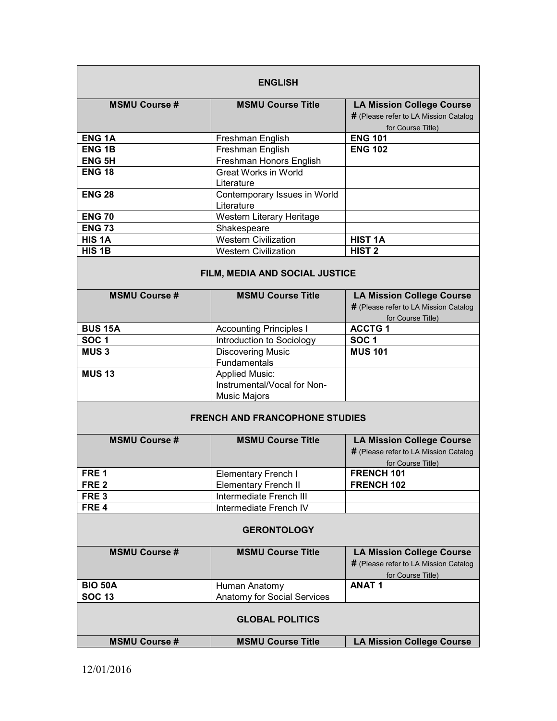| <b>ENGLISH</b>         |                                                                             |                                                                                                |  |  |
|------------------------|-----------------------------------------------------------------------------|------------------------------------------------------------------------------------------------|--|--|
| <b>MSMU Course#</b>    | <b>MSMU Course Title</b>                                                    | <b>LA Mission College Course</b><br># (Please refer to LA Mission Catalog<br>for Course Title) |  |  |
| <b>ENG1A</b>           | Freshman English                                                            | <b>ENG 101</b>                                                                                 |  |  |
| <b>ENG1B</b>           | Freshman English                                                            | <b>ENG 102</b>                                                                                 |  |  |
| <b>ENG 5H</b>          | Freshman Honors English                                                     |                                                                                                |  |  |
| <b>ENG 18</b>          | <b>Great Works in World</b><br>Literature                                   |                                                                                                |  |  |
| <b>ENG 28</b>          | Contemporary Issues in World<br>Literature                                  |                                                                                                |  |  |
| <b>ENG 70</b>          | Western Literary Heritage                                                   |                                                                                                |  |  |
| <b>ENG 73</b>          | Shakespeare                                                                 |                                                                                                |  |  |
| HIS <sub>1</sub> A     | <b>Western Civilization</b>                                                 | <b>HIST 1A</b>                                                                                 |  |  |
| HIS <sub>1B</sub>      | <b>Western Civilization</b>                                                 | HIST <sub>2</sub>                                                                              |  |  |
|                        | FILM, MEDIA AND SOCIAL JUSTICE                                              |                                                                                                |  |  |
| <b>MSMU Course #</b>   | <b>MSMU Course Title</b>                                                    | <b>LA Mission College Course</b><br># (Please refer to LA Mission Catalog<br>for Course Title) |  |  |
| <b>BUS 15A</b>         | <b>Accounting Principles I</b>                                              | <b>ACCTG1</b>                                                                                  |  |  |
| SOC <sub>1</sub>       | Introduction to Sociology                                                   | SOC <sub>1</sub>                                                                               |  |  |
| <b>MUS3</b>            | <b>Discovering Music</b>                                                    | <b>MUS 101</b>                                                                                 |  |  |
|                        | Fundamentals                                                                |                                                                                                |  |  |
| <b>MUS 13</b>          | <b>Applied Music:</b><br>Instrumental/Vocal for Non-<br><b>Music Majors</b> |                                                                                                |  |  |
|                        |                                                                             |                                                                                                |  |  |
|                        | <b>FRENCH AND FRANCOPHONE STUDIES</b>                                       |                                                                                                |  |  |
| <b>MSMU Course#</b>    | <b>MSMU Course Title</b>                                                    | <b>LA Mission College Course</b><br># (Please refer to LA Mission Catalog<br>for Course Title) |  |  |
| FRE <sub>1</sub>       | Elementary French I                                                         | FRENCH 101                                                                                     |  |  |
| FRE <sub>2</sub>       | <b>Elementary French II</b>                                                 | FRENCH 102                                                                                     |  |  |
| FRE <sub>3</sub>       | Intermediate French III                                                     |                                                                                                |  |  |
| FRE <sub>4</sub>       | Intermediate French IV                                                      |                                                                                                |  |  |
| <b>GERONTOLOGY</b>     |                                                                             |                                                                                                |  |  |
| <b>MSMU Course #</b>   | <b>MSMU Course Title</b>                                                    | <b>LA Mission College Course</b><br># (Please refer to LA Mission Catalog<br>for Course Title) |  |  |
| <b>BIO 50A</b>         | Human Anatomy                                                               | <b>ANAT1</b>                                                                                   |  |  |
| <b>SOC 13</b>          | Anatomy for Social Services                                                 |                                                                                                |  |  |
| <b>GLOBAL POLITICS</b> |                                                                             |                                                                                                |  |  |
| <b>MSMU Course #</b>   | <b>MSMU Course Title</b>                                                    | <b>LA Mission College Course</b>                                                               |  |  |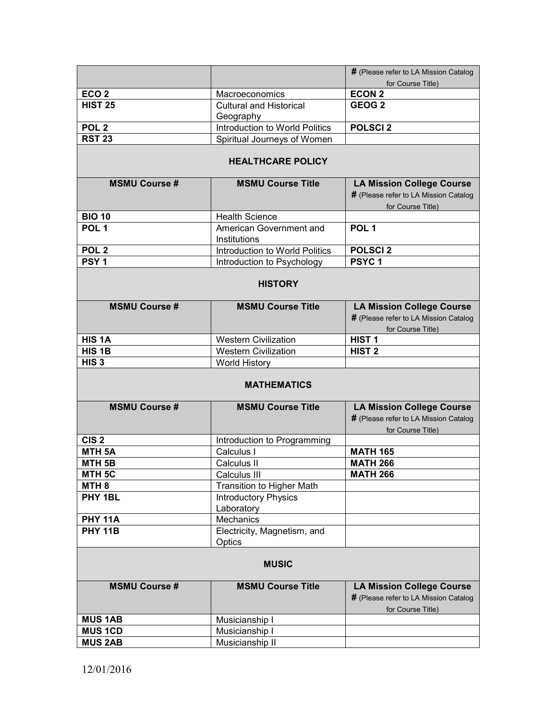|                      |                                           | # (Please refer to LA Mission Catalog                                                          |  |  |
|----------------------|-------------------------------------------|------------------------------------------------------------------------------------------------|--|--|
|                      |                                           | for Course Title)                                                                              |  |  |
| ECO <sub>2</sub>     | Macroeconomics                            | <b>ECON 2</b>                                                                                  |  |  |
| <b>HIST 25</b>       | <b>Cultural and Historical</b>            | GEOG <sub>2</sub>                                                                              |  |  |
|                      | Geography                                 |                                                                                                |  |  |
| POL <sub>2</sub>     | Introduction to World Politics            | <b>POLSCI2</b>                                                                                 |  |  |
| <b>RST 23</b>        | Spiritual Journeys of Women               |                                                                                                |  |  |
|                      | <b>HEALTHCARE POLICY</b>                  |                                                                                                |  |  |
| <b>MSMU Course #</b> | <b>MSMU Course Title</b>                  | <b>LA Mission College Course</b>                                                               |  |  |
|                      |                                           | # (Please refer to LA Mission Catalog                                                          |  |  |
|                      |                                           | for Course Title)                                                                              |  |  |
| <b>BIO 10</b>        | <b>Health Science</b>                     |                                                                                                |  |  |
| POL <sub>1</sub>     | American Government and                   | POL <sub>1</sub>                                                                               |  |  |
|                      | Institutions                              |                                                                                                |  |  |
| POL <sub>2</sub>     | Introduction to World Politics            | <b>POLSCI2</b>                                                                                 |  |  |
| PSY <sub>1</sub>     | Introduction to Psychology                | PSYC <sub>1</sub>                                                                              |  |  |
|                      |                                           |                                                                                                |  |  |
|                      | <b>HISTORY</b>                            |                                                                                                |  |  |
| <b>MSMU Course#</b>  | <b>MSMU Course Title</b>                  | <b>LA Mission College Course</b>                                                               |  |  |
|                      |                                           | # (Please refer to LA Mission Catalog                                                          |  |  |
|                      |                                           | for Course Title)                                                                              |  |  |
| HIS <sub>1</sub> A   | <b>Western Civilization</b>               | HIST <sub>1</sub>                                                                              |  |  |
| HIS <sub>1B</sub>    | <b>Western Civilization</b>               | HIST <sub>2</sub>                                                                              |  |  |
| HIS <sub>3</sub>     | <b>World History</b>                      |                                                                                                |  |  |
| <b>MATHEMATICS</b>   |                                           |                                                                                                |  |  |
| <b>MSMU Course #</b> | <b>MSMU Course Title</b>                  | <b>LA Mission College Course</b>                                                               |  |  |
|                      |                                           | # (Please refer to LA Mission Catalog<br>for Course Title)                                     |  |  |
| CIS <sub>2</sub>     |                                           |                                                                                                |  |  |
| MTH <sub>5A</sub>    | Introduction to Programming<br>Calculus I | <b>MATH 165</b>                                                                                |  |  |
| MTH <sub>5B</sub>    | Calculus II                               | <b>MATH 266</b>                                                                                |  |  |
| MTH 5C               | <b>Calculus III</b>                       | <b>MATH 266</b>                                                                                |  |  |
| MTH <sub>8</sub>     | Transition to Higher Math                 |                                                                                                |  |  |
| PHY 1BL              |                                           |                                                                                                |  |  |
|                      | <b>Introductory Physics</b>               |                                                                                                |  |  |
| <b>PHY 11A</b>       | Laboratory<br>Mechanics                   |                                                                                                |  |  |
| <b>PHY 11B</b>       |                                           |                                                                                                |  |  |
|                      | Electricity, Magnetism, and               |                                                                                                |  |  |
|                      | Optics<br><b>MUSIC</b>                    |                                                                                                |  |  |
| <b>MSMU Course #</b> | <b>MSMU Course Title</b>                  | <b>LA Mission College Course</b><br># (Please refer to LA Mission Catalog<br>for Course Title) |  |  |
| <b>MUS 1AB</b>       | Musicianship I                            |                                                                                                |  |  |
| <b>MUS 1CD</b>       | Musicianship I                            |                                                                                                |  |  |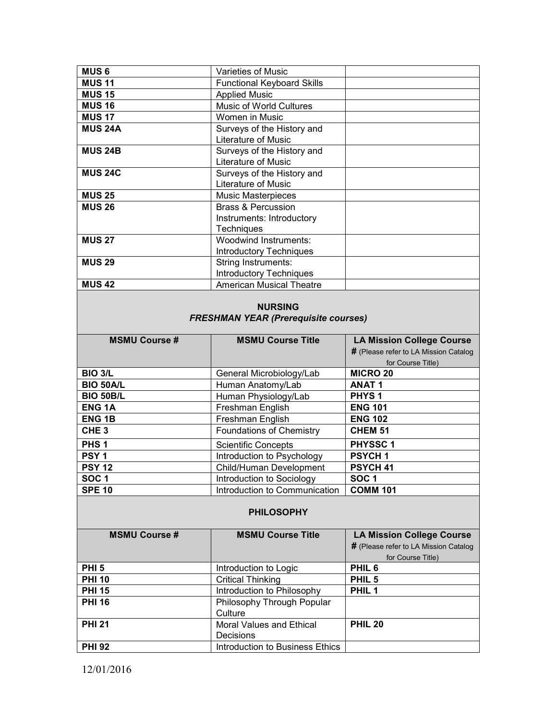| <b>MUS 6</b>   | Varieties of Music                                                              |  |
|----------------|---------------------------------------------------------------------------------|--|
| <b>MUS 11</b>  | <b>Functional Keyboard Skills</b>                                               |  |
| <b>MUS 15</b>  | <b>Applied Music</b>                                                            |  |
| <b>MUS 16</b>  | <b>Music of World Cultures</b>                                                  |  |
| <b>MUS 17</b>  | Women in Music                                                                  |  |
| <b>MUS 24A</b> | Surveys of the History and<br><b>Literature of Music</b>                        |  |
| <b>MUS 24B</b> | Surveys of the History and<br>Literature of Music                               |  |
| <b>MUS 24C</b> | Surveys of the History and<br>Literature of Music                               |  |
| <b>MUS 25</b>  | <b>Music Masterpieces</b>                                                       |  |
| <b>MUS 26</b>  | <b>Brass &amp; Percussion</b><br>Instruments: Introductory<br><b>Techniques</b> |  |
| <b>MUS 27</b>  | <b>Woodwind Instruments:</b><br><b>Introductory Techniques</b>                  |  |
| <b>MUS 29</b>  | <b>String Instruments:</b><br><b>Introductory Techniques</b>                    |  |
| <b>MUS 42</b>  | American Musical Theatre                                                        |  |

# **NURSING**  *FRESHMAN YEAR (Prerequisite courses)*

| <b>MSMU Course #</b> | <b>MSMU Course Title</b>        | <b>LA Mission College Course</b>      |
|----------------------|---------------------------------|---------------------------------------|
|                      |                                 | # (Please refer to LA Mission Catalog |
|                      |                                 | for Course Title)                     |
| <b>BIO 3/L</b>       | General Microbiology/Lab        | <b>MICRO 20</b>                       |
| <b>BIO 50A/L</b>     | Human Anatomy/Lab               | <b>ANAT1</b>                          |
| <b>BIO 50B/L</b>     | Human Physiology/Lab            | <b>PHYS1</b>                          |
| <b>ENG1A</b>         | Freshman English                | <b>ENG 101</b>                        |
| <b>ENG 1B</b>        | Freshman English                | <b>ENG 102</b>                        |
| CHE <sub>3</sub>     | <b>Foundations of Chemistry</b> | CHEM <sub>51</sub>                    |
| PHS <sub>1</sub>     | <b>Scientific Concepts</b>      | <b>PHYSSC1</b>                        |
| PSY <sub>1</sub>     | Introduction to Psychology      | <b>PSYCH1</b>                         |
| <b>PSY 12</b>        | Child/Human Development         | PSYCH <sub>41</sub>                   |
| <b>SOC1</b>          | Introduction to Sociology       | <b>SOC1</b>                           |
| <b>SPE 10</b>        | Introduction to Communication   | <b>COMM 101</b>                       |

# **PHILOSOPHY**

| <b>MSMU Course #</b> | <b>MSMU Course Title</b>        | <b>LA Mission College Course</b>      |
|----------------------|---------------------------------|---------------------------------------|
|                      |                                 | # (Please refer to LA Mission Catalog |
|                      |                                 | for Course Title)                     |
| <b>PHI 5</b>         | Introduction to Logic           | PHIL <sub>6</sub>                     |
| <b>PHI 10</b>        | <b>Critical Thinking</b>        | PHIL <sub>5</sub>                     |
| <b>PHI 15</b>        | Introduction to Philosophy      | PHIL <sub>1</sub>                     |
| <b>PHI 16</b>        | Philosophy Through Popular      |                                       |
|                      | Culture                         |                                       |
| <b>PHI 21</b>        | Moral Values and Ethical        | <b>PHIL 20</b>                        |
|                      | <b>Decisions</b>                |                                       |
| <b>PHI 92</b>        | Introduction to Business Ethics |                                       |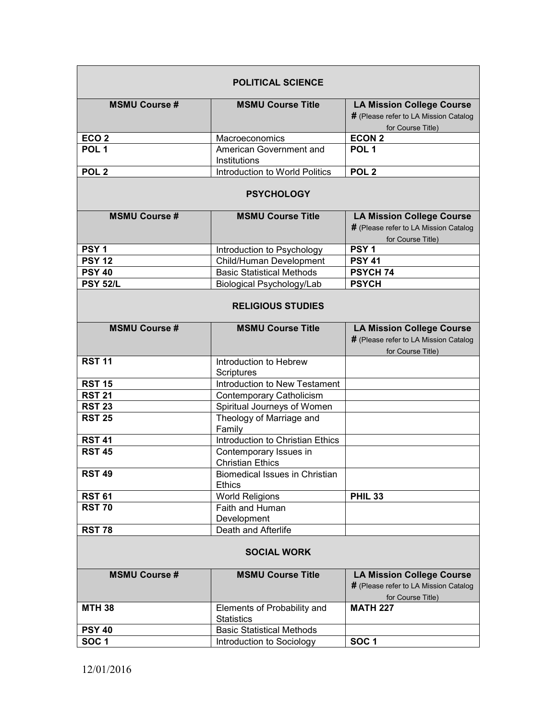| <b>POLITICAL SCIENCE</b> |                                                   |                                                                                                |
|--------------------------|---------------------------------------------------|------------------------------------------------------------------------------------------------|
| <b>MSMU Course#</b>      | <b>MSMU Course Title</b>                          | <b>LA Mission College Course</b><br># (Please refer to LA Mission Catalog<br>for Course Title) |
| ECO <sub>2</sub>         | Macroeconomics                                    | <b>ECON 2</b>                                                                                  |
| POL <sub>1</sub>         | American Government and<br>Institutions           | POL <sub>1</sub>                                                                               |
| POL <sub>2</sub>         | Introduction to World Politics                    | POL <sub>2</sub>                                                                               |
| <b>PSYCHOLOGY</b>        |                                                   |                                                                                                |
| <b>MSMU Course#</b>      | <b>MSMU Course Title</b>                          | <b>LA Mission College Course</b><br># (Please refer to LA Mission Catalog<br>for Course Title) |
| PSY <sub>1</sub>         | Introduction to Psychology                        | PSY <sub>1</sub>                                                                               |
| <b>PSY 12</b>            | Child/Human Development                           | <b>PSY 41</b>                                                                                  |
| <b>PSY 40</b>            | <b>Basic Statistical Methods</b>                  | <b>PSYCH 74</b>                                                                                |
| <b>PSY 52/L</b>          | Biological Psychology/Lab                         | <b>PSYCH</b>                                                                                   |
| <b>RELIGIOUS STUDIES</b> |                                                   |                                                                                                |
| <b>MSMU Course#</b>      | <b>MSMU Course Title</b>                          | <b>LA Mission College Course</b><br># (Please refer to LA Mission Catalog<br>for Course Title) |
| <b>RST 11</b>            | Introduction to Hebrew<br><b>Scriptures</b>       |                                                                                                |
| <b>RST 15</b>            | Introduction to New Testament                     |                                                                                                |
| <b>RST 21</b>            | Contemporary Catholicism                          |                                                                                                |
| <b>RST 23</b>            | Spiritual Journeys of Women                       |                                                                                                |
| <b>RST 25</b>            | Theology of Marriage and<br>Family                |                                                                                                |
| <b>RST 41</b>            | Introduction to Christian Ethics                  |                                                                                                |
| <b>RST 45</b>            | Contemporary Issues in<br><b>Christian Ethics</b> |                                                                                                |
| <b>RST 49</b>            | Biomedical Issues in Christian<br><b>Ethics</b>   |                                                                                                |
| <b>RST 61</b>            | <b>World Religions</b>                            | <b>PHIL 33</b>                                                                                 |
| <b>RST 70</b>            | Faith and Human<br>Development                    |                                                                                                |
| <b>RST 78</b>            | Death and Afterlife                               |                                                                                                |
| <b>SOCIAL WORK</b>       |                                                   |                                                                                                |
| <b>MSMU Course #</b>     | <b>MSMU Course Title</b>                          | <b>LA Mission College Course</b><br># (Please refer to LA Mission Catalog<br>for Course Title) |
| <b>MTH 38</b>            | Elements of Probability and<br><b>Statistics</b>  | <b>MATH 227</b>                                                                                |
| <b>PSY 40</b>            | <b>Basic Statistical Methods</b>                  |                                                                                                |
| SOC <sub>1</sub>         | Introduction to Sociology                         | SOC <sub>1</sub>                                                                               |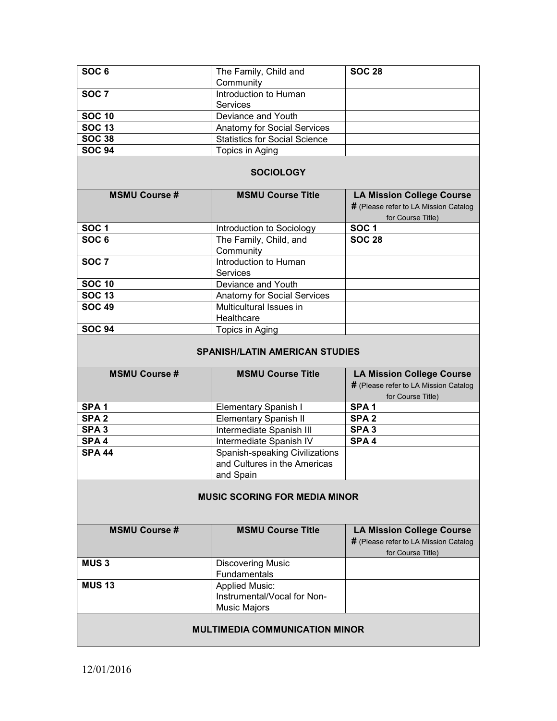| SOC <sub>6</sub>                      | The Family, Child and                                                       | <b>SOC 28</b>                                                                                  |
|---------------------------------------|-----------------------------------------------------------------------------|------------------------------------------------------------------------------------------------|
|                                       | Community                                                                   |                                                                                                |
| SOC <sub>7</sub>                      | Introduction to Human<br><b>Services</b>                                    |                                                                                                |
| <b>SOC 10</b>                         | Deviance and Youth                                                          |                                                                                                |
| <b>SOC 13</b>                         | <b>Anatomy for Social Services</b>                                          |                                                                                                |
| <b>SOC 38</b>                         | <b>Statistics for Social Science</b>                                        |                                                                                                |
| <b>SOC 94</b>                         | Topics in Aging                                                             |                                                                                                |
|                                       |                                                                             |                                                                                                |
| <b>SOCIOLOGY</b>                      |                                                                             |                                                                                                |
| <b>MSMU Course #</b>                  | <b>MSMU Course Title</b>                                                    | <b>LA Mission College Course</b><br># (Please refer to LA Mission Catalog<br>for Course Title) |
| <b>SOC1</b>                           | Introduction to Sociology                                                   | <b>SOC1</b>                                                                                    |
| SOC <sub>6</sub>                      | The Family, Child, and<br>Community                                         | <b>SOC 28</b>                                                                                  |
| SOC <sub>7</sub>                      | Introduction to Human<br><b>Services</b>                                    |                                                                                                |
| <b>SOC 10</b>                         | Deviance and Youth                                                          |                                                                                                |
| <b>SOC 13</b>                         | Anatomy for Social Services                                                 |                                                                                                |
| <b>SOC 49</b>                         | Multicultural Issues in                                                     |                                                                                                |
|                                       | Healthcare                                                                  |                                                                                                |
| <b>SOC 94</b>                         | Topics in Aging                                                             |                                                                                                |
| <b>SPANISH/LATIN AMERICAN STUDIES</b> |                                                                             |                                                                                                |
|                                       |                                                                             |                                                                                                |
| <b>MSMU Course #</b>                  | <b>MSMU Course Title</b>                                                    | <b>LA Mission College Course</b><br># (Please refer to LA Mission Catalog<br>for Course Title) |
| SPA <sub>1</sub>                      | Elementary Spanish I                                                        | SPA <sub>1</sub>                                                                               |
| SPA <sub>2</sub>                      | <b>Elementary Spanish II</b>                                                | SPA <sub>2</sub>                                                                               |
| SPA <sub>3</sub>                      | Intermediate Spanish III                                                    | SPA <sub>3</sub>                                                                               |
| SPA <sub>4</sub>                      | Intermediate Spanish IV                                                     | SPA <sub>4</sub>                                                                               |
| <b>SPA 44</b>                         | Spanish-speaking Civilizations                                              |                                                                                                |
|                                       | and Cultures in the Americas                                                |                                                                                                |
|                                       | and Spain                                                                   |                                                                                                |
|                                       | <b>MUSIC SCORING FOR MEDIA MINOR</b>                                        |                                                                                                |
| <b>MSMU Course #</b>                  | <b>MSMU Course Title</b>                                                    | <b>LA Mission College Course</b><br># (Please refer to LA Mission Catalog<br>for Course Title) |
| <b>MUS3</b>                           | <b>Discovering Music</b><br>Fundamentals                                    |                                                                                                |
| <b>MUS 13</b>                         | <b>Applied Music:</b><br>Instrumental/Vocal for Non-<br><b>Music Majors</b> |                                                                                                |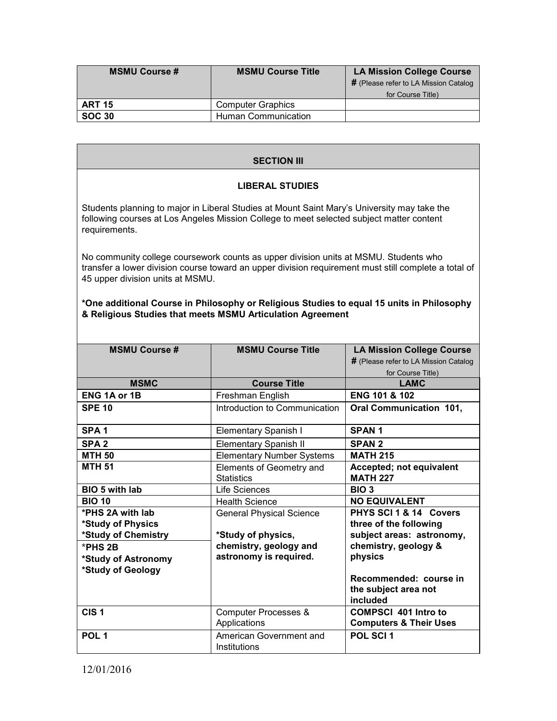| <b>MSMU Course #</b> | <b>MSMU Course Title</b>   | <b>LA Mission College Course</b>      |
|----------------------|----------------------------|---------------------------------------|
|                      |                            | # (Please refer to LA Mission Catalog |
|                      |                            | for Course Title)                     |
| <b>ART 15</b>        | <b>Computer Graphics</b>   |                                       |
| <b>SOC 30</b>        | <b>Human Communication</b> |                                       |

## **SECTION III**

### **LIBERAL STUDIES**

Students planning to major in Liberal Studies at Mount Saint Mary's University may take the following courses at Los Angeles Mission College to meet selected subject matter content requirements.

No community college coursework counts as upper division units at MSMU. Students who transfer a lower division course toward an upper division requirement must still complete a total of 45 upper division units at MSMU.

### **\*One additional Course in Philosophy or Religious Studies to equal 15 units in Philosophy & Religious Studies that meets MSMU Articulation Agreement**

| <b>MSMU Course #</b>                                         | <b>MSMU Course Title</b>                              | <b>LA Mission College Course</b><br># (Please refer to LA Mission Catalog<br>for Course Title) |
|--------------------------------------------------------------|-------------------------------------------------------|------------------------------------------------------------------------------------------------|
| <b>MSMC</b>                                                  | <b>Course Title</b>                                   | LAMC                                                                                           |
| <b>ENG 1A or 1B</b>                                          | Freshman English                                      | <b>ENG 101 &amp; 102</b>                                                                       |
| <b>SPE 10</b>                                                | Introduction to Communication                         | <b>Oral Communication 101,</b>                                                                 |
| SPA <sub>1</sub>                                             | Elementary Spanish I                                  | <b>SPAN1</b>                                                                                   |
| SPA <sub>2</sub>                                             | <b>Elementary Spanish II</b>                          | <b>SPAN 2</b>                                                                                  |
| <b>MTH 50</b>                                                | <b>Elementary Number Systems</b>                      | <b>MATH 215</b>                                                                                |
| <b>MTH 51</b>                                                | Elements of Geometry and<br><b>Statistics</b>         | Accepted; not equivalent<br><b>MATH 227</b>                                                    |
| <b>BIO 5 with lab</b>                                        | Life Sciences                                         | BIO <sub>3</sub>                                                                               |
| <b>BIO 10</b>                                                | <b>Health Science</b>                                 | <b>NO EQUIVALENT</b>                                                                           |
| *PHS 2A with lab<br>*Study of Physics<br>*Study of Chemistry | <b>General Physical Science</b><br>*Study of physics, | PHYS SCI 1 & 14 Covers<br>three of the following<br>subject areas: astronomy,                  |
| $*PHS 2B$<br>*Study of Astronomy<br>*Study of Geology        | chemistry, geology and<br>astronomy is required.      | chemistry, geology &<br>physics<br>Recommended: course in                                      |
|                                                              |                                                       | the subject area not<br>included                                                               |
| CIS <sub>1</sub>                                             | Computer Processes &<br>Applications                  | <b>COMPSCI 401 Intro to</b><br><b>Computers &amp; Their Uses</b>                               |
| POL <sub>1</sub>                                             | American Government and<br>Institutions               | POL SCI 1                                                                                      |